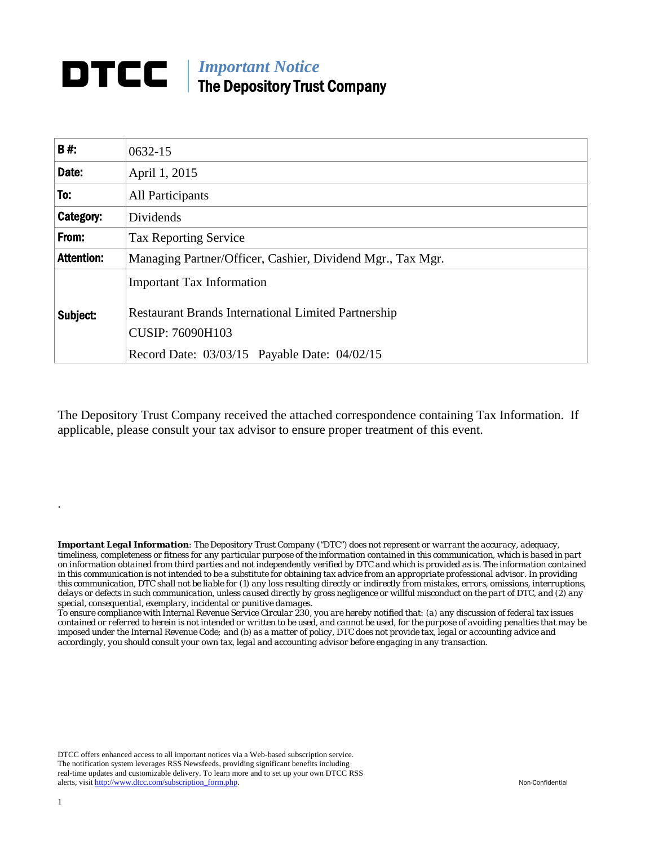## *Important Notice*  The Depository Trust Company

| <b>B#:</b>        | $0632 - 15$                                                                                                               |
|-------------------|---------------------------------------------------------------------------------------------------------------------------|
| Date:             | April 1, 2015                                                                                                             |
| To:               | All Participants                                                                                                          |
| <b>Category:</b>  | Dividends                                                                                                                 |
| From:             | <b>Tax Reporting Service</b>                                                                                              |
| <b>Attention:</b> | Managing Partner/Officer, Cashier, Dividend Mgr., Tax Mgr.                                                                |
| Subject:          | <b>Important Tax Information</b><br><b>Restaurant Brands International Limited Partnership</b><br><b>CUSIP: 76090H103</b> |
|                   | Record Date: 03/03/15 Payable Date: 04/02/15                                                                              |

The Depository Trust Company received the attached correspondence containing Tax Information. If applicable, please consult your tax advisor to ensure proper treatment of this event.

*Important Legal Information: The Depository Trust Company ("DTC") does not represent or warrant the accuracy, adequacy, timeliness, completeness or fitness for any particular purpose of the information contained in this communication, which is based in part on information obtained from third parties and not independently verified by DTC and which is provided as is. The information contained in this communication is not intended to be a substitute for obtaining tax advice from an appropriate professional advisor. In providing this communication, DTC shall not be liable for (1) any loss resulting directly or indirectly from mistakes, errors, omissions, interruptions, delays or defects in such communication, unless caused directly by gross negligence or willful misconduct on the part of DTC, and (2) any special, consequential, exemplary, incidental or punitive damages.* 

*To ensure compliance with Internal Revenue Service Circular 230, you are hereby notified that: (a) any discussion of federal tax issues contained or referred to herein is not intended or written to be used, and cannot be used, for the purpose of avoiding penalties that may be imposed under the Internal Revenue Code; and (b) as a matter of policy, DTC does not provide tax, legal or accounting advice and accordingly, you should consult your own tax, legal and accounting advisor before engaging in any transaction.*

DTCC offers enhanced access to all important notices via a Web-based subscription service. The notification system leverages RSS Newsfeeds, providing significant benefits including real-time updates and customizable delivery. To learn more and to set up your own DTCC RSS alerts, visit http://www.dtcc.com/subscription\_form.php. Non-Confidential

.